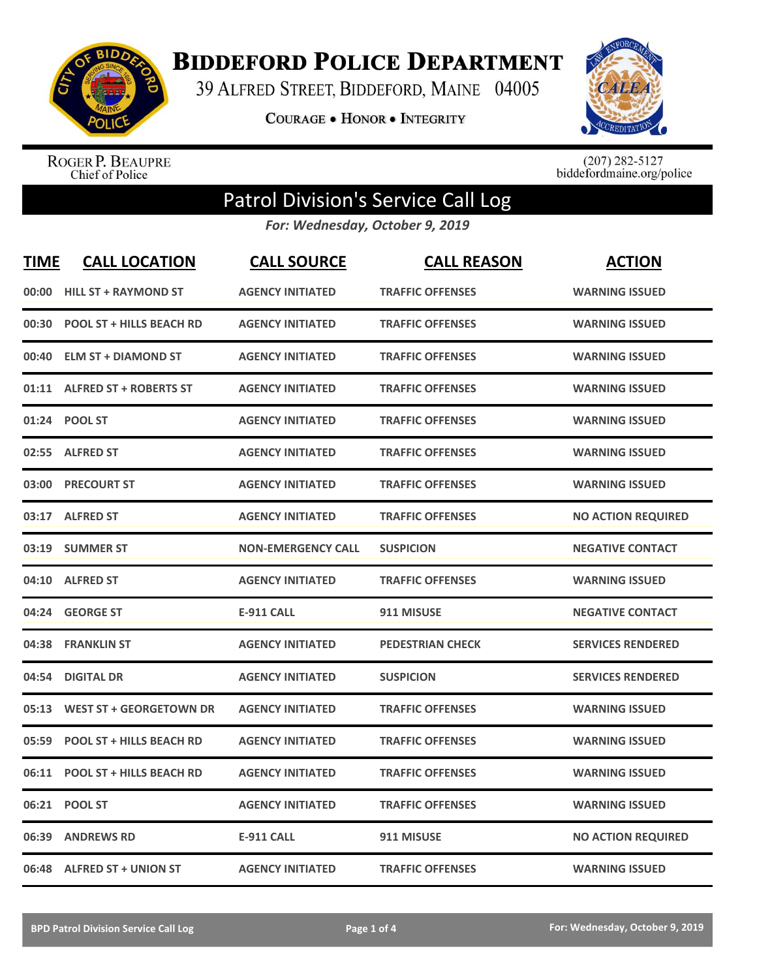

**BIDDEFORD POLICE DEPARTMENT** 

39 ALFRED STREET, BIDDEFORD, MAINE 04005

**COURAGE . HONOR . INTEGRITY** 



ROGER P. BEAUPRE<br>Chief of Police

 $(207)$  282-5127<br>biddefordmaine.org/police

## Patrol Division's Service Call Log

*For: Wednesday, October 9, 2019*

| <b>TIME</b> | <b>CALL LOCATION</b>            | <b>CALL SOURCE</b>        | <b>CALL REASON</b>      | <b>ACTION</b>             |
|-------------|---------------------------------|---------------------------|-------------------------|---------------------------|
| 00:00       | <b>HILL ST + RAYMOND ST</b>     | <b>AGENCY INITIATED</b>   | <b>TRAFFIC OFFENSES</b> | <b>WARNING ISSUED</b>     |
| 00:30       | <b>POOL ST + HILLS BEACH RD</b> | <b>AGENCY INITIATED</b>   | <b>TRAFFIC OFFENSES</b> | <b>WARNING ISSUED</b>     |
| 00:40       | <b>ELM ST + DIAMOND ST</b>      | <b>AGENCY INITIATED</b>   | <b>TRAFFIC OFFENSES</b> | <b>WARNING ISSUED</b>     |
|             | 01:11 ALFRED ST + ROBERTS ST    | <b>AGENCY INITIATED</b>   | <b>TRAFFIC OFFENSES</b> | <b>WARNING ISSUED</b>     |
|             | 01:24 POOL ST                   | <b>AGENCY INITIATED</b>   | <b>TRAFFIC OFFENSES</b> | <b>WARNING ISSUED</b>     |
| 02:55       | <b>ALFRED ST</b>                | <b>AGENCY INITIATED</b>   | <b>TRAFFIC OFFENSES</b> | <b>WARNING ISSUED</b>     |
| 03:00       | <b>PRECOURT ST</b>              | <b>AGENCY INITIATED</b>   | <b>TRAFFIC OFFENSES</b> | <b>WARNING ISSUED</b>     |
| 03:17       | <b>ALFRED ST</b>                | <b>AGENCY INITIATED</b>   | <b>TRAFFIC OFFENSES</b> | <b>NO ACTION REQUIRED</b> |
| 03:19       | <b>SUMMER ST</b>                | <b>NON-EMERGENCY CALL</b> | <b>SUSPICION</b>        | <b>NEGATIVE CONTACT</b>   |
| 04:10       | <b>ALFRED ST</b>                | <b>AGENCY INITIATED</b>   | <b>TRAFFIC OFFENSES</b> | <b>WARNING ISSUED</b>     |
|             | 04:24 GEORGE ST                 | <b>E-911 CALL</b>         | 911 MISUSE              | <b>NEGATIVE CONTACT</b>   |
| 04:38       | <b>FRANKLIN ST</b>              | <b>AGENCY INITIATED</b>   | <b>PEDESTRIAN CHECK</b> | <b>SERVICES RENDERED</b>  |
| 04:54       | <b>DIGITAL DR</b>               | <b>AGENCY INITIATED</b>   | <b>SUSPICION</b>        | <b>SERVICES RENDERED</b>  |
| 05:13       | <b>WEST ST + GEORGETOWN DR</b>  | <b>AGENCY INITIATED</b>   | <b>TRAFFIC OFFENSES</b> | <b>WARNING ISSUED</b>     |
| 05:59       | <b>POOL ST + HILLS BEACH RD</b> | <b>AGENCY INITIATED</b>   | <b>TRAFFIC OFFENSES</b> | <b>WARNING ISSUED</b>     |
| 06:11       | <b>POOL ST + HILLS BEACH RD</b> | <b>AGENCY INITIATED</b>   | <b>TRAFFIC OFFENSES</b> | <b>WARNING ISSUED</b>     |
| 06:21       | <b>POOL ST</b>                  | <b>AGENCY INITIATED</b>   | <b>TRAFFIC OFFENSES</b> | <b>WARNING ISSUED</b>     |
| 06:39       | <b>ANDREWS RD</b>               | <b>E-911 CALL</b>         | 911 MISUSE              | <b>NO ACTION REQUIRED</b> |
|             | 06:48 ALFRED ST + UNION ST      | <b>AGENCY INITIATED</b>   | <b>TRAFFIC OFFENSES</b> | <b>WARNING ISSUED</b>     |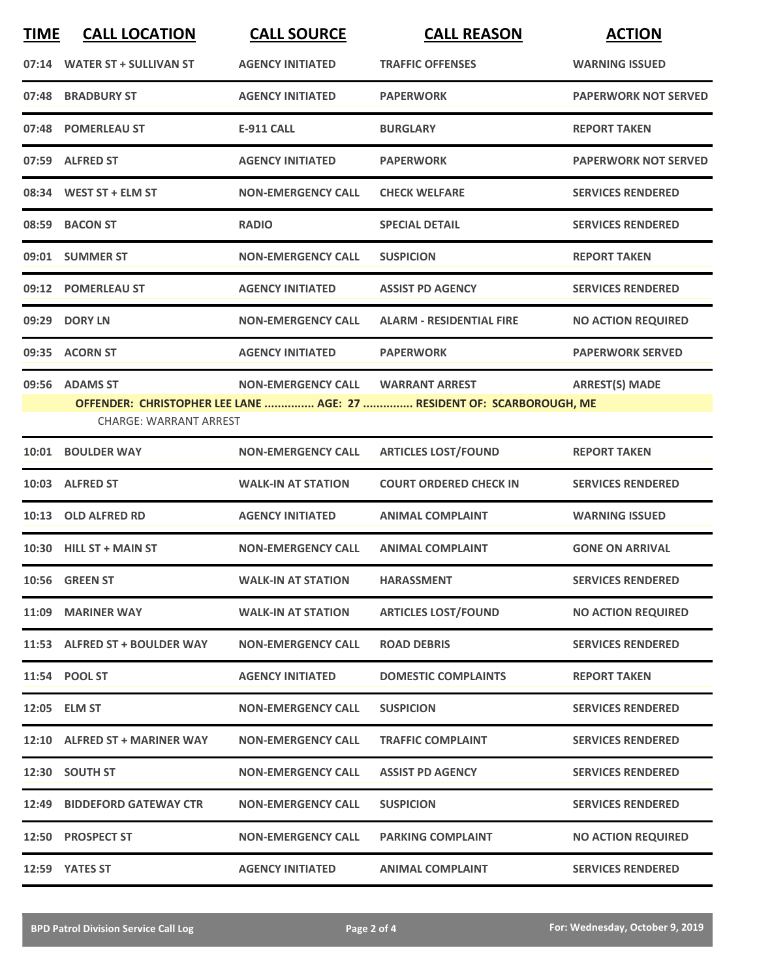| <b>TIME</b> | <b>CALL LOCATION</b>          | <b>CALL SOURCE</b>        | <b>CALL REASON</b>                                                                             | <b>ACTION</b>               |
|-------------|-------------------------------|---------------------------|------------------------------------------------------------------------------------------------|-----------------------------|
|             | 07:14 WATER ST + SULLIVAN ST  | <b>AGENCY INITIATED</b>   | <b>TRAFFIC OFFENSES</b>                                                                        | <b>WARNING ISSUED</b>       |
| 07:48       | <b>BRADBURY ST</b>            | <b>AGENCY INITIATED</b>   | <b>PAPERWORK</b>                                                                               | <b>PAPERWORK NOT SERVED</b> |
|             | 07:48 POMERLEAU ST            | <b>E-911 CALL</b>         | <b>BURGLARY</b>                                                                                | <b>REPORT TAKEN</b>         |
|             | 07:59 ALFRED ST               | <b>AGENCY INITIATED</b>   | <b>PAPERWORK</b>                                                                               | <b>PAPERWORK NOT SERVED</b> |
|             | 08:34 WEST ST + ELM ST        | <b>NON-EMERGENCY CALL</b> | <b>CHECK WELFARE</b>                                                                           | <b>SERVICES RENDERED</b>    |
|             | 08:59 BACON ST                | <b>RADIO</b>              | <b>SPECIAL DETAIL</b>                                                                          | <b>SERVICES RENDERED</b>    |
|             | 09:01 SUMMER ST               | <b>NON-EMERGENCY CALL</b> | <b>SUSPICION</b>                                                                               | <b>REPORT TAKEN</b>         |
|             | 09:12 POMERLEAU ST            | <b>AGENCY INITIATED</b>   | <b>ASSIST PD AGENCY</b>                                                                        | <b>SERVICES RENDERED</b>    |
| 09:29       | <b>DORY LN</b>                | <b>NON-EMERGENCY CALL</b> | <b>ALARM - RESIDENTIAL FIRE</b>                                                                | <b>NO ACTION REQUIRED</b>   |
|             | 09:35 ACORN ST                | <b>AGENCY INITIATED</b>   | <b>PAPERWORK</b>                                                                               | <b>PAPERWORK SERVED</b>     |
|             | 09:56 ADAMS ST                | <b>NON-EMERGENCY CALL</b> | <b>WARRANT ARREST</b><br>OFFENDER: CHRISTOPHER LEE LANE  AGE: 27  RESIDENT OF: SCARBOROUGH, ME | <b>ARREST(S) MADE</b>       |
|             | <b>CHARGE: WARRANT ARREST</b> |                           |                                                                                                |                             |
|             | 10:01 BOULDER WAY             | <b>NON-EMERGENCY CALL</b> | <b>ARTICLES LOST/FOUND</b>                                                                     | <b>REPORT TAKEN</b>         |
| 10:03       | <b>ALFRED ST</b>              | <b>WALK-IN AT STATION</b> | <b>COURT ORDERED CHECK IN</b>                                                                  | <b>SERVICES RENDERED</b>    |
| 10:13       | <b>OLD ALFRED RD</b>          | <b>AGENCY INITIATED</b>   | <b>ANIMAL COMPLAINT</b>                                                                        | <b>WARNING ISSUED</b>       |
|             | 10:30 HILL ST + MAIN ST       | <b>NON-EMERGENCY CALL</b> | <b>ANIMAL COMPLAINT</b>                                                                        | <b>GONE ON ARRIVAL</b>      |
|             | 10:56 GREEN ST                | <b>WALK-IN AT STATION</b> | <b>HARASSMENT</b>                                                                              | <b>SERVICES RENDERED</b>    |
|             | 11:09 MARINER WAY             | <b>WALK-IN AT STATION</b> | <b>ARTICLES LOST/FOUND</b>                                                                     | <b>NO ACTION REQUIRED</b>   |
|             | 11:53 ALFRED ST + BOULDER WAY | <b>NON-EMERGENCY CALL</b> | <b>ROAD DEBRIS</b>                                                                             | <b>SERVICES RENDERED</b>    |
|             | 11:54 POOL ST                 | <b>AGENCY INITIATED</b>   | <b>DOMESTIC COMPLAINTS</b>                                                                     | <b>REPORT TAKEN</b>         |
|             | 12:05 ELM ST                  | <b>NON-EMERGENCY CALL</b> | <b>SUSPICION</b>                                                                               | <b>SERVICES RENDERED</b>    |
|             | 12:10 ALFRED ST + MARINER WAY | <b>NON-EMERGENCY CALL</b> | <b>TRAFFIC COMPLAINT</b>                                                                       | <b>SERVICES RENDERED</b>    |
|             | 12:30 SOUTH ST                | <b>NON-EMERGENCY CALL</b> | <b>ASSIST PD AGENCY</b>                                                                        | <b>SERVICES RENDERED</b>    |
|             | 12:49 BIDDEFORD GATEWAY CTR   | <b>NON-EMERGENCY CALL</b> | <b>SUSPICION</b>                                                                               | <b>SERVICES RENDERED</b>    |
|             | 12:50 PROSPECT ST             | <b>NON-EMERGENCY CALL</b> | <b>PARKING COMPLAINT</b>                                                                       | <b>NO ACTION REQUIRED</b>   |
|             | 12:59 YATES ST                | <b>AGENCY INITIATED</b>   | <b>ANIMAL COMPLAINT</b>                                                                        | <b>SERVICES RENDERED</b>    |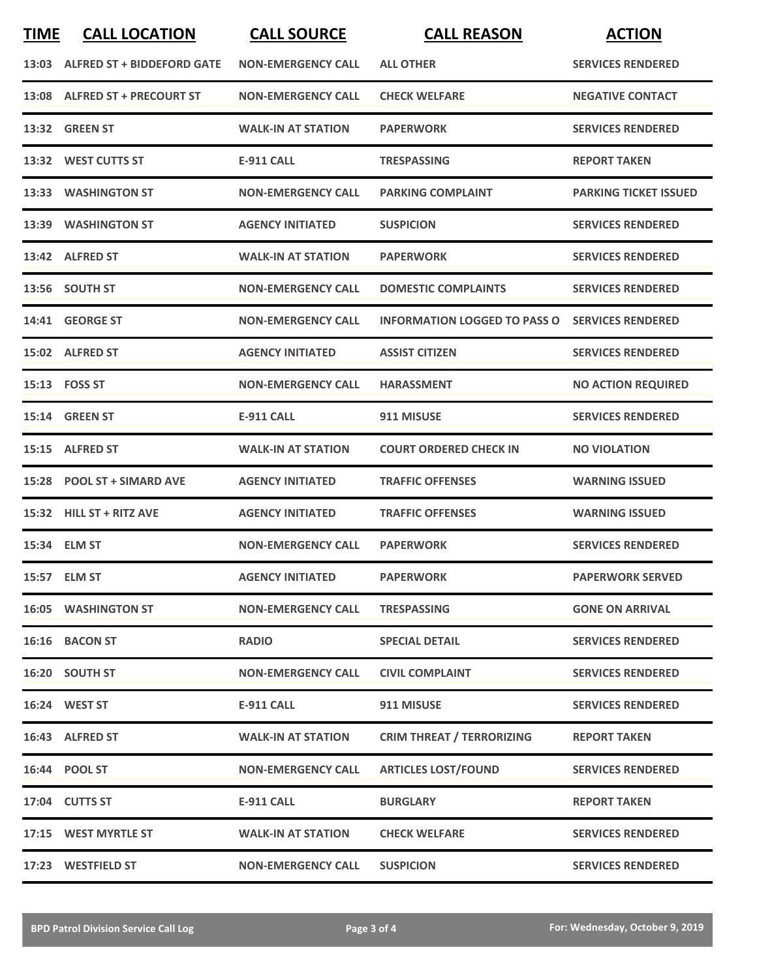| <b>TIME</b> | <b>CALL LOCATION</b>             | <b>CALL SOURCE</b>        | <b>CALL REASON</b>                                    | <b>ACTION</b>                |
|-------------|----------------------------------|---------------------------|-------------------------------------------------------|------------------------------|
|             | 13:03 ALFRED ST + BIDDEFORD GATE | <b>NON-EMERGENCY CALL</b> | <b>ALL OTHER</b>                                      | <b>SERVICES RENDERED</b>     |
|             | 13:08 ALFRED ST + PRECOURT ST    | <b>NON-EMERGENCY CALL</b> | <b>CHECK WELFARE</b>                                  | <b>NEGATIVE CONTACT</b>      |
|             | 13:32 GREEN ST                   | <b>WALK-IN AT STATION</b> | <b>PAPERWORK</b>                                      | <b>SERVICES RENDERED</b>     |
|             | 13:32 WEST CUTTS ST              | <b>E-911 CALL</b>         | <b>TRESPASSING</b>                                    | <b>REPORT TAKEN</b>          |
|             | 13:33 WASHINGTON ST              | <b>NON-EMERGENCY CALL</b> | <b>PARKING COMPLAINT</b>                              | <b>PARKING TICKET ISSUED</b> |
|             | 13:39 WASHINGTON ST              | <b>AGENCY INITIATED</b>   | <b>SUSPICION</b>                                      | <b>SERVICES RENDERED</b>     |
|             | 13:42 ALFRED ST                  | <b>WALK-IN AT STATION</b> | <b>PAPERWORK</b>                                      | <b>SERVICES RENDERED</b>     |
|             | 13:56 SOUTH ST                   | <b>NON-EMERGENCY CALL</b> | <b>DOMESTIC COMPLAINTS</b>                            | <b>SERVICES RENDERED</b>     |
|             | 14:41 GEORGE ST                  | <b>NON-EMERGENCY CALL</b> | <b>INFORMATION LOGGED TO PASS O SERVICES RENDERED</b> |                              |
|             | 15:02 ALFRED ST                  | <b>AGENCY INITIATED</b>   | <b>ASSIST CITIZEN</b>                                 | <b>SERVICES RENDERED</b>     |
|             | 15:13 FOSS ST                    | <b>NON-EMERGENCY CALL</b> | <b>HARASSMENT</b>                                     | <b>NO ACTION REQUIRED</b>    |
|             | 15:14 GREEN ST                   | <b>E-911 CALL</b>         | 911 MISUSE                                            | <b>SERVICES RENDERED</b>     |
|             | 15:15 ALFRED ST                  | <b>WALK-IN AT STATION</b> | <b>COURT ORDERED CHECK IN</b>                         | <b>NO VIOLATION</b>          |
|             | 15:28 POOL ST + SIMARD AVE       | <b>AGENCY INITIATED</b>   | <b>TRAFFIC OFFENSES</b>                               | <b>WARNING ISSUED</b>        |
|             | 15:32 HILL ST + RITZ AVE         | <b>AGENCY INITIATED</b>   | <b>TRAFFIC OFFENSES</b>                               | <b>WARNING ISSUED</b>        |
|             | 15:34 ELM ST                     | <b>NON-EMERGENCY CALL</b> | <b>PAPERWORK</b>                                      | <b>SERVICES RENDERED</b>     |
|             | 15:57 ELM ST                     | <b>AGENCY INITIATED</b>   | <b>PAPERWORK</b>                                      | <b>PAPERWORK SERVED</b>      |
|             | <b>16:05 WASHINGTON ST</b>       | <b>NON-EMERGENCY CALL</b> | <b>TRESPASSING</b>                                    | <b>GONE ON ARRIVAL</b>       |
|             | 16:16 BACON ST                   | <b>RADIO</b>              | <b>SPECIAL DETAIL</b>                                 | <b>SERVICES RENDERED</b>     |
|             | 16:20 SOUTH ST                   | <b>NON-EMERGENCY CALL</b> | <b>CIVIL COMPLAINT</b>                                | <b>SERVICES RENDERED</b>     |
|             | 16:24 WEST ST                    | <b>E-911 CALL</b>         | 911 MISUSE                                            | <b>SERVICES RENDERED</b>     |
|             | 16:43 ALFRED ST                  | <b>WALK-IN AT STATION</b> | <b>CRIM THREAT / TERRORIZING</b>                      | <b>REPORT TAKEN</b>          |
|             | 16:44 POOL ST                    | <b>NON-EMERGENCY CALL</b> | <b>ARTICLES LOST/FOUND</b>                            | <b>SERVICES RENDERED</b>     |
|             | 17:04 CUTTS ST                   | <b>E-911 CALL</b>         | <b>BURGLARY</b>                                       | <b>REPORT TAKEN</b>          |
|             | 17:15 WEST MYRTLE ST             | <b>WALK-IN AT STATION</b> | <b>CHECK WELFARE</b>                                  | <b>SERVICES RENDERED</b>     |
|             | 17:23 WESTFIELD ST               | <b>NON-EMERGENCY CALL</b> | <b>SUSPICION</b>                                      | <b>SERVICES RENDERED</b>     |